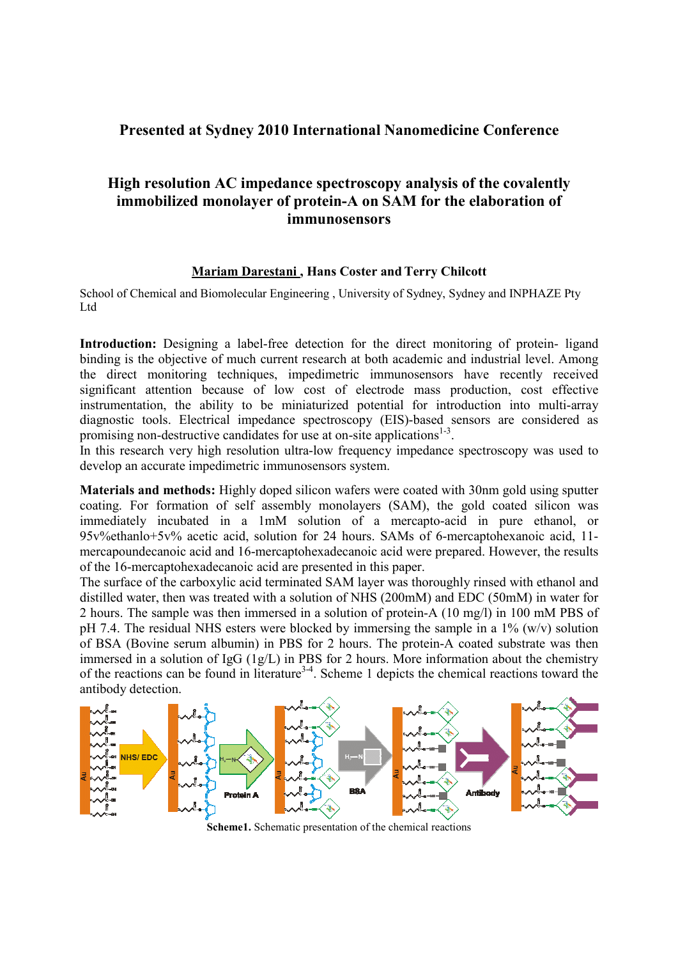## **Presented at Sydney 2010 International Nanomedicine Conference**

# **High resolution AC impedance spectroscopy analysis of the covalently immobilized monolayer of protein-A on SAM for the elaboration of immunosensors**

## **Mariam Darestani, Hans Coster and Terry Chilcott**

School of Chemical and Biomolecular Engineering , University of Sydney, Sydney and INPHAZE Pty Ltd

**Introduction:** Designing a label-free detection for the direct monitoring of protein- ligand binding is the objective of much current research at both academic and industrial level. Among the direct monitoring techniques, impedimetric immunosensors have recently received significant attention because of low cost of electrode mass production, cost effective instrumentation, the ability to be miniaturized potential for introduction into multi-array diagnostic tools. Electrical impedance spectroscopy (EIS)-based sensors are considered as promising non-destructive candidates for use at on-site applications<sup>1-3</sup>.

In this research very high resolution ultra-low frequency impedance spectroscopy was used to develop an accurate impedimetric immunosensors system.

**Materials and methods:** Highly doped silicon wafers were coated with 30nm gold using sputter coating. For formation of self assembly monolayers (SAM), the gold coated silicon was immediately incubated in a 1mM solution of a mercapto-acid in pure ethanol, or 95v%ethanlo+5v% acetic acid, solution for 24 hours. SAMs of 6-mercaptohexanoic acid, 11 mercapoundecanoic acid and 16-mercaptohexadecanoic acid were prepared. However, the results of the 16-mercaptohexadecanoic acid are presented in this paper.

The surface of the carboxylic acid terminated SAM layer was thoroughly rinsed with ethanol and distilled water, then was treated with a solution of NHS (200mM) and EDC (50mM) in water for 2 hours. The sample was then immersed in a solution of protein-A (10 mg/l) in 100 mM PBS of pH 7.4. The residual NHS esters were blocked by immersing the sample in a  $1\%$  (w/v) solution of BSA (Bovine serum albumin) in PBS for 2 hours. The protein-A coated substrate was then immersed in a solution of IgG (1g/L) in PBS for 2 hours. More information about the chemistry of the reactions can be found in literature<sup>3-4</sup>. Scheme 1 depicts the chemical reactions toward the antibody detection.



**Scheme1.** Schematic presentation of the chemical reactions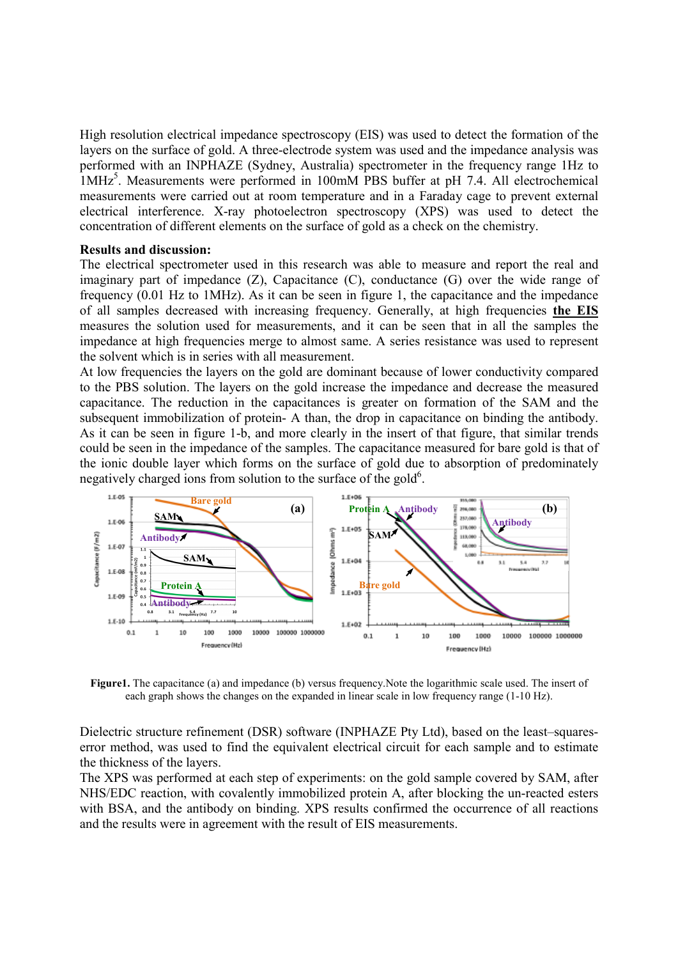High resolution electrical impedance spectroscopy (EIS) was used to detect the formation of the layers on the surface of gold. A three-electrode system was used and the impedance analysis was performed with an INPHAZE (Sydney, Australia) spectrometer in the frequency range 1Hz to 1MHz<sup>5</sup>. Measurements were performed in 100mM PBS buffer at pH 7.4. All electrochemical measurements were carried out at room temperature and in a Faraday cage to prevent external electrical interference. X-ray photoelectron spectroscopy (XPS) was used to detect the concentration of different elements on the surface of gold as a check on the chemistry.

### **Results and discussion:**

The electrical spectrometer used in this research was able to measure and report the real and imaginary part of impedance (Z), Capacitance (C), conductance (G) over the wide range of frequency (0.01 Hz to 1MHz). As it can be seen in figure 1, the capacitance and the impedance of all samples decreased with increasing frequency. Generally, at high frequencies **the EIS** measures the solution used for measurements, and it can be seen that in all the samples the impedance at high frequencies merge to almost same. A series resistance was used to represent the solvent which is in series with all measurement.

At low frequencies the layers on the gold are dominant because of lower conductivity compared to the PBS solution. The layers on the gold increase the impedance and decrease the measured capacitance. The reduction in the capacitances is greater on formation of the SAM and the subsequent immobilization of protein- A than, the drop in capacitance on binding the antibody. As it can be seen in figure 1-b, and more clearly in the insert of that figure, that similar trends could be seen in the impedance of the samples. The capacitance measured for bare gold is that of the ionic double layer which forms on the surface of gold due to absorption of predominately negatively charged ions from solution to the surface of the gold<sup>6</sup>.



**Figure1.** The capacitance (a) and impedance (b) versus frequency. Note the logarithmic scale used. The insert of each graph shows the changes on the expanded in linear scale in low frequency range (1-10 Hz).

Dielectric structure refinement (DSR) software (INPHAZE Pty Ltd), based on the least–squareserror method, was used to find the equivalent electrical circuit for each sample and to estimate the thickness of the layers.

The XPS was performed at each step of experiments: on the gold sample covered by SAM, after NHS/EDC reaction, with covalently immobilized protein A, after blocking the un-reacted esters with BSA, and the antibody on binding. XPS results confirmed the occurrence of all reactions and the results were in agreement with the result of EIS measurements.